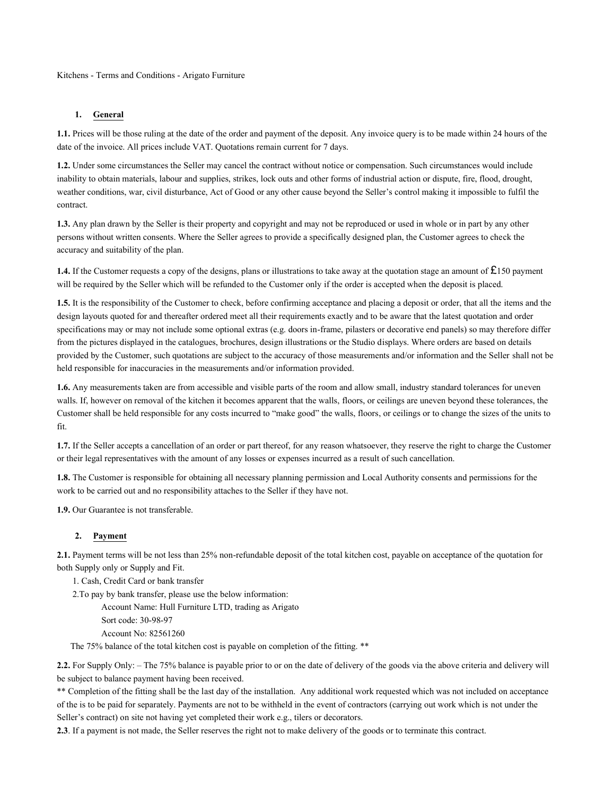Kitchens - Terms and Conditions - Arigato Furniture

#### **1. General**

**1.1.** Prices will be those ruling at the date of the order and payment of the deposit. Any invoice query is to be made within 24 hours of the date of the invoice. All prices include VAT. Quotations remain current for 7 days.

**1.2.** Under some circumstances the Seller may cancel the contract without notice or compensation. Such circumstances would include inability to obtain materials, labour and supplies, strikes, lock outs and other forms of industrial action or dispute, fire, flood, drought, weather conditions, war, civil disturbance, Act of Good or any other cause beyond the Seller's control making it impossible to fulfil the contract.

**1.3.** Any plan drawn by the Seller is their property and copyright and may not be reproduced or used in whole or in part by any other persons without written consents. Where the Seller agrees to provide a specifically designed plan, the Customer agrees to check the accuracy and suitability of the plan.

**1.4.** If the Customer requests a copy of the designs, plans or illustrations to take away at the quotation stage an amount of £150 payment will be required by the Seller which will be refunded to the Customer only if the order is accepted when the deposit is placed.

**1.5.** It is the responsibility of the Customer to check, before confirming acceptance and placing a deposit or order, that all the items and the design layouts quoted for and thereafter ordered meet all their requirements exactly and to be aware that the latest quotation and order specifications may or may not include some optional extras (e.g. doors in-frame, pilasters or decorative end panels) so may therefore differ from the pictures displayed in the catalogues, brochures, design illustrations or the Studio displays. Where orders are based on details provided by the Customer, such quotations are subject to the accuracy of those measurements and/or information and the Seller shall not be held responsible for inaccuracies in the measurements and/or information provided.

**1.6.** Any measurements taken are from accessible and visible parts of the room and allow small, industry standard tolerances for uneven walls. If, however on removal of the kitchen it becomes apparent that the walls, floors, or ceilings are uneven beyond these tolerances, the Customer shall be held responsible for any costs incurred to "make good" the walls, floors, or ceilings or to change the sizes of the units to fit.

**1.7.** If the Seller accepts a cancellation of an order or part thereof, for any reason whatsoever, they reserve the right to charge the Customer or their legal representatives with the amount of any losses or expenses incurred as a result of such cancellation.

**1.8.** The Customer is responsible for obtaining all necessary planning permission and Local Authority consents and permissions for the work to be carried out and no responsibility attaches to the Seller if they have not.

**1.9.** Our Guarantee is not transferable.

#### **2. Payment**

**2.1.** Payment terms will be not less than 25% non-refundable deposit of the total kitchen cost, payable on acceptance of the quotation for both Supply only or Supply and Fit.

1. Cash, Credit Card or bank transfer

2.To pay by bank transfer, please use the below information:

Account Name: Hull Furniture LTD, trading as Arigato

Sort code: 30-98-97

Account No: 82561260

The 75% balance of the total kitchen cost is payable on completion of the fitting. \*\*

**2.2.** For Supply Only: – The 75% balance is payable prior to or on the date of delivery of the goods via the above criteria and delivery will be subject to balance payment having been received.

\*\* Completion of the fitting shall be the last day of the installation. Any additional work requested which was not included on acceptance of the is to be paid for separately. Payments are not to be withheld in the event of contractors (carrying out work which is not under the Seller's contract) on site not having yet completed their work e.g., tilers or decorators.

**2.3**. If a payment is not made, the Seller reserves the right not to make delivery of the goods or to terminate this contract.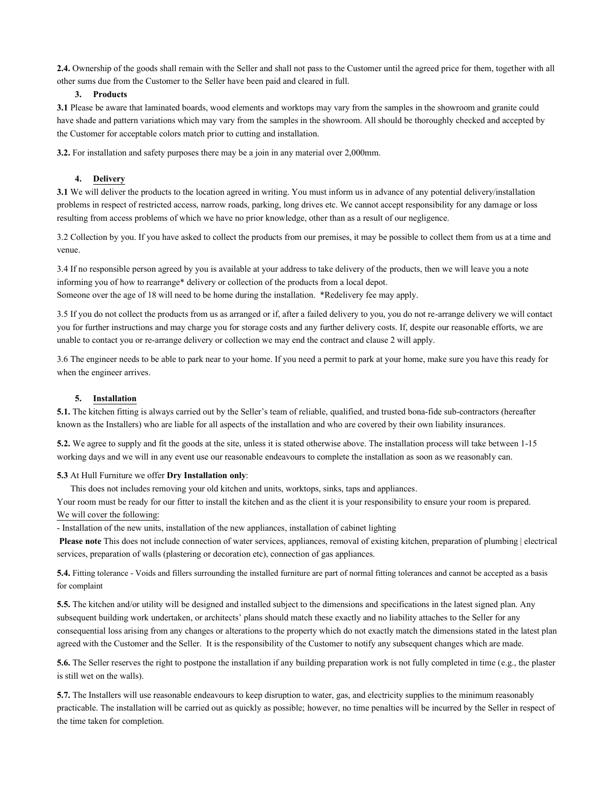**2.4.** Ownership of the goods shall remain with the Seller and shall not pass to the Customer until the agreed price for them, together with all other sums due from the Customer to the Seller have been paid and cleared in full.

#### **3. Products**

**3.1** Please be aware that laminated boards, wood elements and worktops may vary from the samples in the showroom and granite could have shade and pattern variations which may vary from the samples in the showroom. All should be thoroughly checked and accepted by the Customer for acceptable colors match prior to cutting and installation.

**3.2.** For installation and safety purposes there may be a join in any material over 2,000mm.

#### **4. Delivery**

**3.1** We will deliver the products to the location agreed in writing. You must inform us in advance of any potential delivery/installation problems in respect of restricted access, narrow roads, parking, long drives etc. We cannot accept responsibility for any damage or loss resulting from access problems of which we have no prior knowledge, other than as a result of our negligence.

3.2 Collection by you. If you have asked to collect the products from our premises, it may be possible to collect them from us at a time and venue.

3.4 If no responsible person agreed by you is available at your address to take delivery of the products, then we will leave you a note informing you of how to rearrange\* delivery or collection of the products from a local depot.

Someone over the age of 18 will need to be home during the installation. \*Redelivery fee may apply.

3.5 If you do not collect the products from us as arranged or if, after a failed delivery to you, you do not re-arrange delivery we will contact you for further instructions and may charge you for storage costs and any further delivery costs. If, despite our reasonable efforts, we are unable to contact you or re-arrange delivery or collection we may end the contract and clause 2 will apply.

3.6 The engineer needs to be able to park near to your home. If you need a permit to park at your home, make sure you have this ready for when the engineer arrives.

#### **5. Installation**

**5.1.** The kitchen fitting is always carried out by the Seller's team of reliable, qualified, and trusted bona-fide sub-contractors (hereafter known as the Installers) who are liable for all aspects of the installation and who are covered by their own liability insurances.

**5.2.** We agree to supply and fit the goods at the site, unless it is stated otherwise above. The installation process will take between 1-15 working days and we will in any event use our reasonable endeavours to complete the installation as soon as we reasonably can.

#### **5.3** At Hull Furniture we offer **Dry Installation only**:

This does not includes removing your old kitchen and units, worktops, sinks, taps and appliances.

Your room must be ready for our fitter to install the kitchen and as the client it is your responsibility to ensure your room is prepared. We will cover the following:

- Installation of the new units, installation of the new appliances, installation of cabinet lighting

**Please note** This does not include connection of water services, appliances, removal of existing kitchen, preparation of plumbing | electrical services, preparation of walls (plastering or decoration etc), connection of gas appliances.

**5.4.** Fitting tolerance - Voids and fillers surrounding the installed furniture are part of normal fitting tolerances and cannot be accepted as a basis for complaint

**5.5.** The kitchen and/or utility will be designed and installed subject to the dimensions and specifications in the latest signed plan. Any subsequent building work undertaken, or architects' plans should match these exactly and no liability attaches to the Seller for any consequential loss arising from any changes or alterations to the property which do not exactly match the dimensions stated in the latest plan agreed with the Customer and the Seller. It is the responsibility of the Customer to notify any subsequent changes which are made.

**5.6.** The Seller reserves the right to postpone the installation if any building preparation work is not fully completed in time (e.g., the plaster is still wet on the walls).

**5.7.** The Installers will use reasonable endeavours to keep disruption to water, gas, and electricity supplies to the minimum reasonably practicable. The installation will be carried out as quickly as possible; however, no time penalties will be incurred by the Seller in respect of the time taken for completion.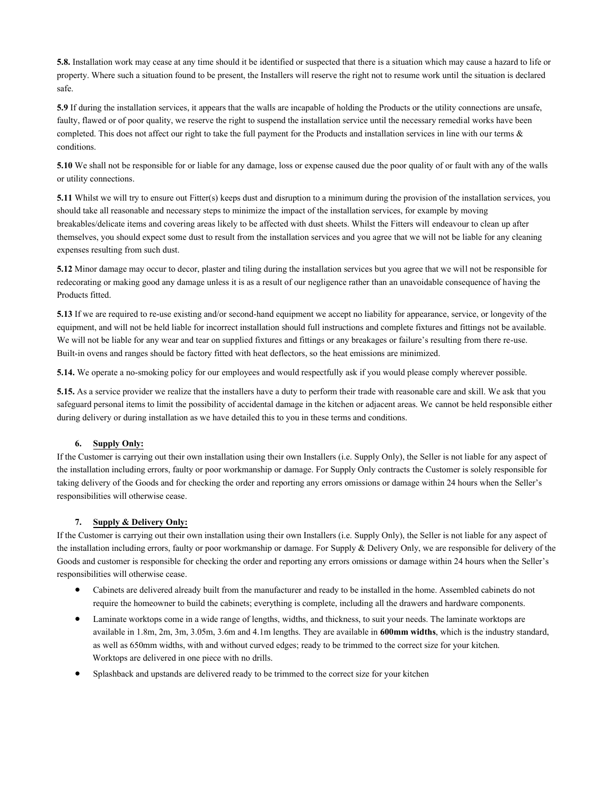**5.8.** Installation work may cease at any time should it be identified or suspected that there is a situation which may cause a hazard to life or property. Where such a situation found to be present, the Installers will reserve the right not to resume work until the situation is declared safe.

**5.9** If during the installation services, it appears that the walls are incapable of holding the Products or the utility connections are unsafe, faulty, flawed or of poor quality, we reserve the right to suspend the installation service until the necessary remedial works have been completed. This does not affect our right to take the full payment for the Products and installation services in line with our terms & conditions.

**5.10** We shall not be responsible for or liable for any damage, loss or expense caused due the poor quality of or fault with any of the walls or utility connections.

**5.11** Whilst we will try to ensure out Fitter(s) keeps dust and disruption to a minimum during the provision of the installation services, you should take all reasonable and necessary steps to minimize the impact of the installation services, for example by moving breakables/delicate items and covering areas likely to be affected with dust sheets. Whilst the Fitters will endeavour to clean up after themselves, you should expect some dust to result from the installation services and you agree that we will not be liable for any cleaning expenses resulting from such dust.

**5.12** Minor damage may occur to decor, plaster and tiling during the installation services but you agree that we will not be responsible for redecorating or making good any damage unless it is as a result of our negligence rather than an unavoidable consequence of having the Products fitted.

**5.13** If we are required to re-use existing and/or second-hand equipment we accept no liability for appearance, service, or longevity of the equipment, and will not be held liable for incorrect installation should full instructions and complete fixtures and fittings not be available. We will not be liable for any wear and tear on supplied fixtures and fittings or any breakages or failure's resulting from there re-use. Built-in ovens and ranges should be factory fitted with heat deflectors, so the heat emissions are minimized.

**5.14.** We operate a no-smoking policy for our employees and would respectfully ask if you would please comply wherever possible.

**5.15.** As a service provider we realize that the installers have a duty to perform their trade with reasonable care and skill. We ask that you safeguard personal items to limit the possibility of accidental damage in the kitchen or adjacent areas. We cannot be held responsible either during delivery or during installation as we have detailed this to you in these terms and conditions.

#### **6. Supply Only:**

If the Customer is carrying out their own installation using their own Installers (i.e. Supply Only), the Seller is not liable for any aspect of the installation including errors, faulty or poor workmanship or damage. For Supply Only contracts the Customer is solely responsible for taking delivery of the Goods and for checking the order and reporting any errors omissions or damage within 24 hours when the Seller's responsibilities will otherwise cease.

#### **7. Supply & Delivery Only:**

If the Customer is carrying out their own installation using their own Installers (i.e. Supply Only), the Seller is not liable for any aspect of the installation including errors, faulty or poor workmanship or damage. For Supply & Delivery Only, we are responsible for delivery of the Goods and customer is responsible for checking the order and reporting any errors omissions or damage within 24 hours when the Seller's responsibilities will otherwise cease.

- Cabinets are delivered already built from the manufacturer and ready to be installed in the home. Assembled cabinets do not require the homeowner to build the cabinets; everything is complete, including all the drawers and hardware components.
- Laminate worktops come in a wide range of lengths, widths, and thickness, to suit your needs. The laminate worktops are available in 1.8m, 2m, 3m, 3.05m, 3.6m and 4.1m lengths. They are available in **600mm widths**, which is the industry standard, as well as 650mm widths, with and without curved edges; ready to be trimmed to the correct size for your kitchen. Worktops are delivered in one piece with no drills.
- Splashback and upstands are delivered ready to be trimmed to the correct size for your kitchen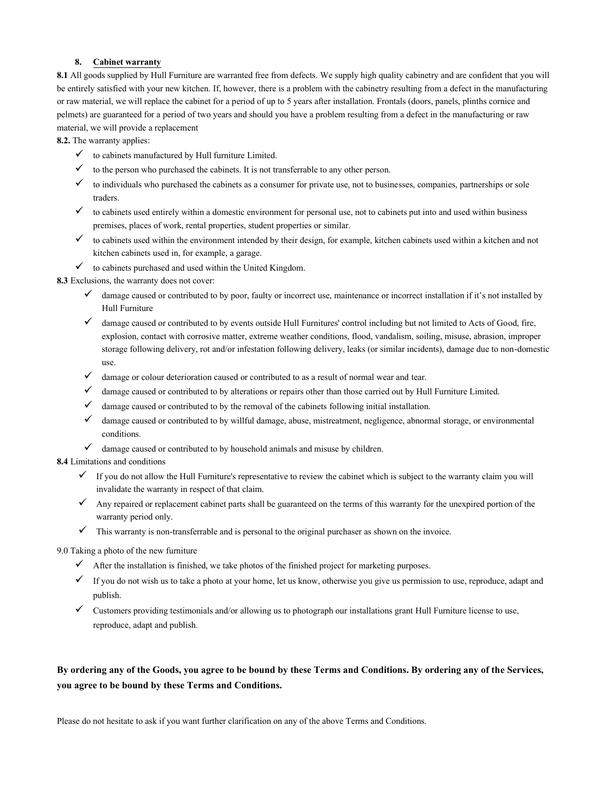#### **8. Cabinet warranty**

**8.1** All goods supplied by Hull Furniture are warranted free from defects. We supply high quality cabinetry and are confident that you will be entirely satisfied with your new kitchen. If, however, there is a problem with the cabinetry resulting from a defect in the manufacturing or raw material, we will replace the cabinet for a period of up to 5 years after installation. Frontals (doors, panels, plinths cornice and pelmets) are guaranteed for a period of two years and should you have a problem resulting from a defect in the manufacturing or raw material, we will provide a replacement

**8.2.** The warranty applies:

- $\checkmark$  to cabinets manufactured by Hull furniture Limited.
- $\checkmark$  to the person who purchased the cabinets. It is not transferrable to any other person.
- $\checkmark$  to individuals who purchased the cabinets as a consumer for private use, not to businesses, companies, partnerships or sole traders.
- $\checkmark$  to cabinets used entirely within a domestic environment for personal use, not to cabinets put into and used within business premises, places of work, rental properties, student properties or similar.
- $\checkmark$  to cabinets used within the environment intended by their design, for example, kitchen cabinets used within a kitchen and not kitchen cabinets used in, for example, a garage.
- $\checkmark$  to cabinets purchased and used within the United Kingdom.

**8.3** Exclusions, the warranty does not cover:

- $\checkmark$  damage caused or contributed to by poor, faulty or incorrect use, maintenance or incorrect installation if it's not installed by Hull Furniture
- ✓ damage caused or contributed to by events outside Hull Furnitures' control including but not limited to Acts of Good, fire, explosion, contact with corrosive matter, extreme weather conditions, flood, vandalism, soiling, misuse, abrasion, improper storage following delivery, rot and/or infestation following delivery, leaks (or similar incidents), damage due to non-domestic use.
- $\checkmark$  damage or colour deterioration caused or contributed to as a result of normal wear and tear.
- ✓ damage caused or contributed to by alterations or repairs other than those carried out by Hull Furniture Limited.
- $\checkmark$  damage caused or contributed to by the removal of the cabinets following initial installation.
- $\checkmark$  damage caused or contributed to by willful damage, abuse, mistreatment, negligence, abnormal storage, or environmental conditions.
- $\checkmark$  damage caused or contributed to by household animals and misuse by children.

**8.4** Limitations and conditions

- $\checkmark$  If you do not allow the Hull Furniture's representative to review the cabinet which is subject to the warranty claim you will invalidate the warranty in respect of that claim.
- Any repaired or replacement cabinet parts shall be guaranteed on the terms of this warranty for the unexpired portion of the warranty period only.
- $\checkmark$  This warranty is non-transferrable and is personal to the original purchaser as shown on the invoice.

9.0 Taking a photo of the new furniture

- $\checkmark$  After the installation is finished, we take photos of the finished project for marketing purposes.
- $\checkmark$  If you do not wish us to take a photo at your home, let us know, otherwise you give us permission to use, reproduce, adapt and publish.
- ✓ Customers providing testimonials and/or allowing us to photograph our installations grant Hull Furniture license to use, reproduce, adapt and publish.

## **By ordering any of the Goods, you agree to be bound by these Terms and Conditions. By ordering any of the Services, you agree to be bound by these Terms and Conditions.**

Please do not hesitate to ask if you want further clarification on any of the above Terms and Conditions.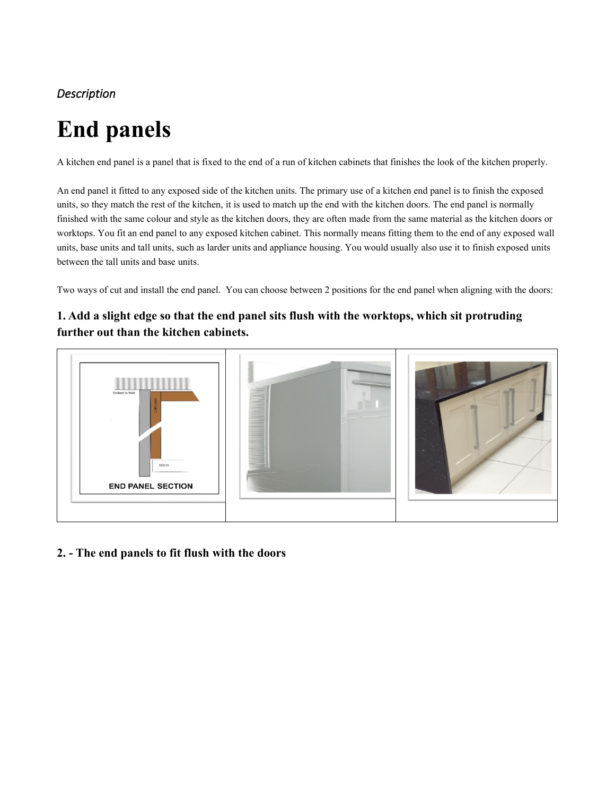# *Description*

# **End panels**

A kitchen end panel is a panel that is fixed to the end of a run of kitchen cabinets that finishes the look of the kitchen properly.

An end panel it fitted to any exposed side of the kitchen units. The primary use of a kitchen end panel is to finish the exposed units, so they match the rest of the kitchen, it is used to match up the end with the kitchen doors. The end panel is normally finished with the same colour and style as the kitchen doors, they are often made from the same material as the kitchen doors or worktops. You fit an end panel to any exposed kitchen cabinet. This normally means fitting them to the end of any exposed wall units, base units and tall units, such as larder units and appliance housing. You would usually also use it to finish exposed units between the tall units and base units.

Two ways of cut and install the end panel. You can choose between 2 positions for the end panel when aligning with the doors:

## **1. Add a slight edge so that the end panel sits flush with the worktops, which sit protruding further out than the kitchen cabinets.**



## **2. - The end panels to fit flush with the doors**